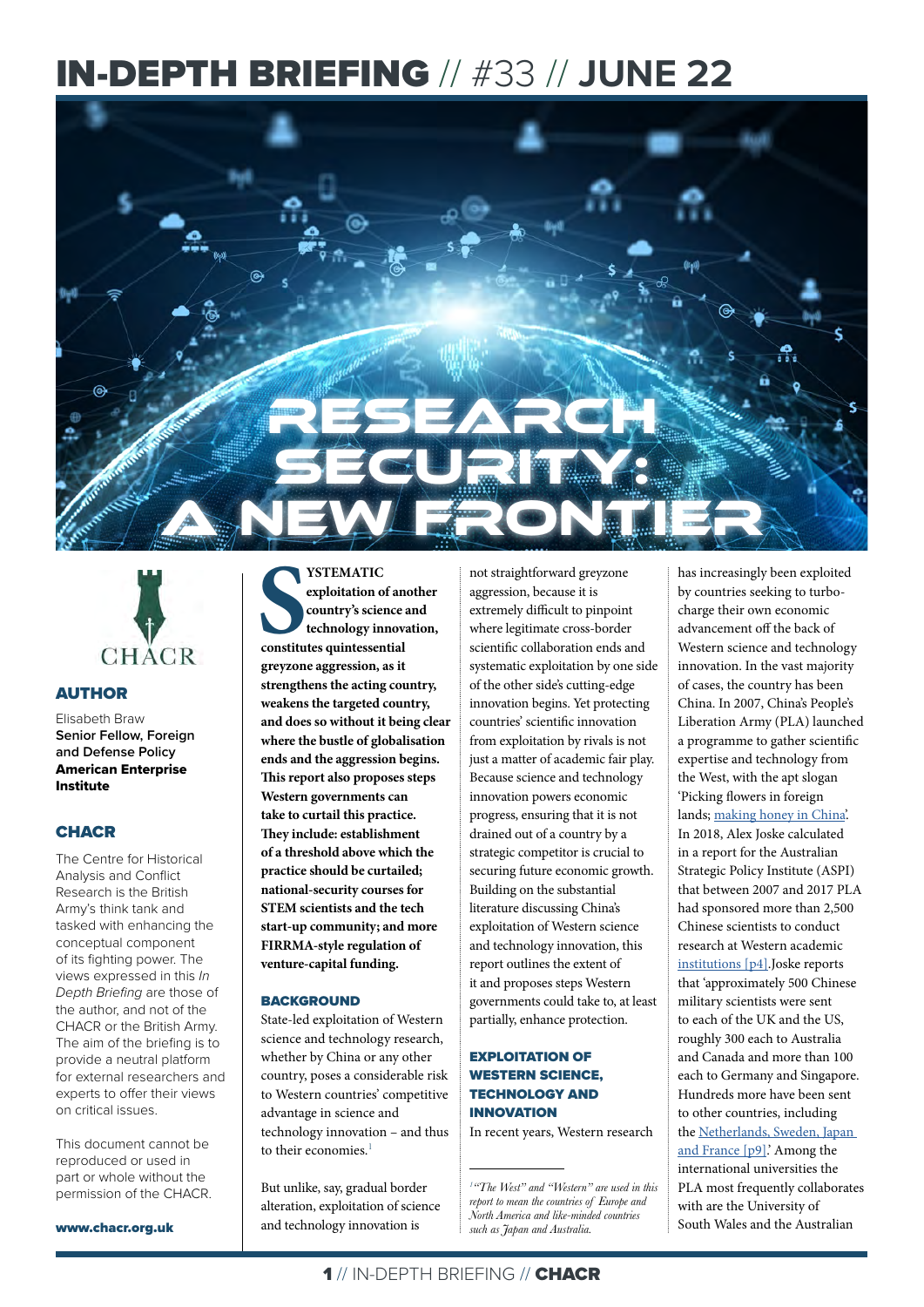# IN-DEPTH BRIEFING // #33 // **JUNE 22**





### AUTHOR

Elisabeth Braw **Senior Fellow, Foreign and Defense Policy** American Enterprise Institute

#### **CHACR**

The Centre for Historical Analysis and Conflict Research is the British Army's think tank and tasked with enhancing the conceptual component of its fighting power. The views expressed in this *In Depth Briefing* are those of the author, and not of the CHACR or the British Army. The aim of the briefing is to provide a neutral platform for external researchers and experts to offer their views on critical issues.

This document cannot be reproduced or used in part or whole without the permission of the CHACR.

www.chacr.org.uk

**SSTEMATIC**<br>
exploitation of an<br>
country's science a<br>
technology innova<br>
constitutes quintessential **YSTEMATIC exploitation of another country's science and technology innovation, greyzone aggression, as it strengthens the acting country, weakens the targeted country, and does so without it being clear where the bustle of globalisation ends and the aggression begins. This report also proposes steps Western governments can take to curtail this practice. They include: establishment of a threshold above which the practice should be curtailed; national-security courses for STEM scientists and the tech start-up community; and more FIRRMA-style regulation of venture-capital funding.**

#### **BACKGROUND**

State-led exploitation of Western science and technology research, whether by China or any other country, poses a considerable risk to Western countries' competitive advantage in science and technology innovation – and thus to their economies. $<sup>1</sup>$ </sup>

But unlike, say, gradual border alteration, exploitation of science and technology innovation is

not straightforward greyzone aggression, because it is extremely difficult to pinpoint where legitimate cross-border scientific collaboration ends and systematic exploitation by one side of the other side's cutting-edge innovation begins. Yet protecting countries' scientific innovation from exploitation by rivals is not just a matter of academic fair play. Because science and technology innovation powers economic progress, ensuring that it is not drained out of a country by a strategic competitor is crucial to securing future economic growth. Building on the substantial literature discussing China's exploitation of Western science and technology innovation, this report outlines the extent of it and proposes steps Western governments could take to, at least partially, enhance protection.

#### EXPLOITATION OF WESTERN SCIENCE, TECHNOLOGY AND INNOVATION

In recent years, Western research

*1 "The West" and "Western" are used in this report to mean the countries of Europe and North America and like-minded countries such as Japan and Australia.* 

has increasingly been exploited by countries seeking to turbocharge their own economic advancement off the back of Western science and technology innovation. In the vast majority of cases, the country has been China. In 2007, China's People's Liberation Army (PLA) launched a programme to gather scientific expertise and technology from the West, with the apt slogan 'Picking flowers in foreign lands; [making honey in China](https://www.ftm.eu/articles/china-science-investigation-launch?share=1%2FKQmzMEoTd2uH8v682dpG6Xx46M06Dpafq92r83sgdq6%2FDowB6HI2%2BNgO0VgZg%3D)'. In 2018, Alex Joske calculated in a report for the Australian Strategic Policy Institute (ASPI) that between 2007 and 2017 PLA had sponsored more than 2,500 Chinese scientists to conduct research at Western academic [institutions](https://ad-aspi.s3.ap-southeast-2.amazonaws.com/2018-10/Picking%20flowers%2C%20making%20honey_0.pdf?VersionId=H5sGNaWXqMgTG_2F2yZTQwDw6OyNfH.u) [p4].Joske reports that 'approximately 500 Chinese military scientists were sent to each of the UK and the US, roughly 300 each to Australia and Canada and more than 100 each to Germany and Singapore. Hundreds more have been sent to other countries, including the [Netherlands, Sweden, Japan](https://ad-aspi.s3.ap-southeast-2.amazonaws.com/2018-10/Picking%20flowers%2C%20making%20honey_0.pdf?VersionId=H5sGNaWXqMgTG_2F2yZTQwDw6OyNfH.u)  [and France](https://ad-aspi.s3.ap-southeast-2.amazonaws.com/2018-10/Picking%20flowers%2C%20making%20honey_0.pdf?VersionId=H5sGNaWXqMgTG_2F2yZTQwDw6OyNfH.u) [p9].' Among the international universities the PLA most frequently collaborates with are the University of

South Wales and the Australian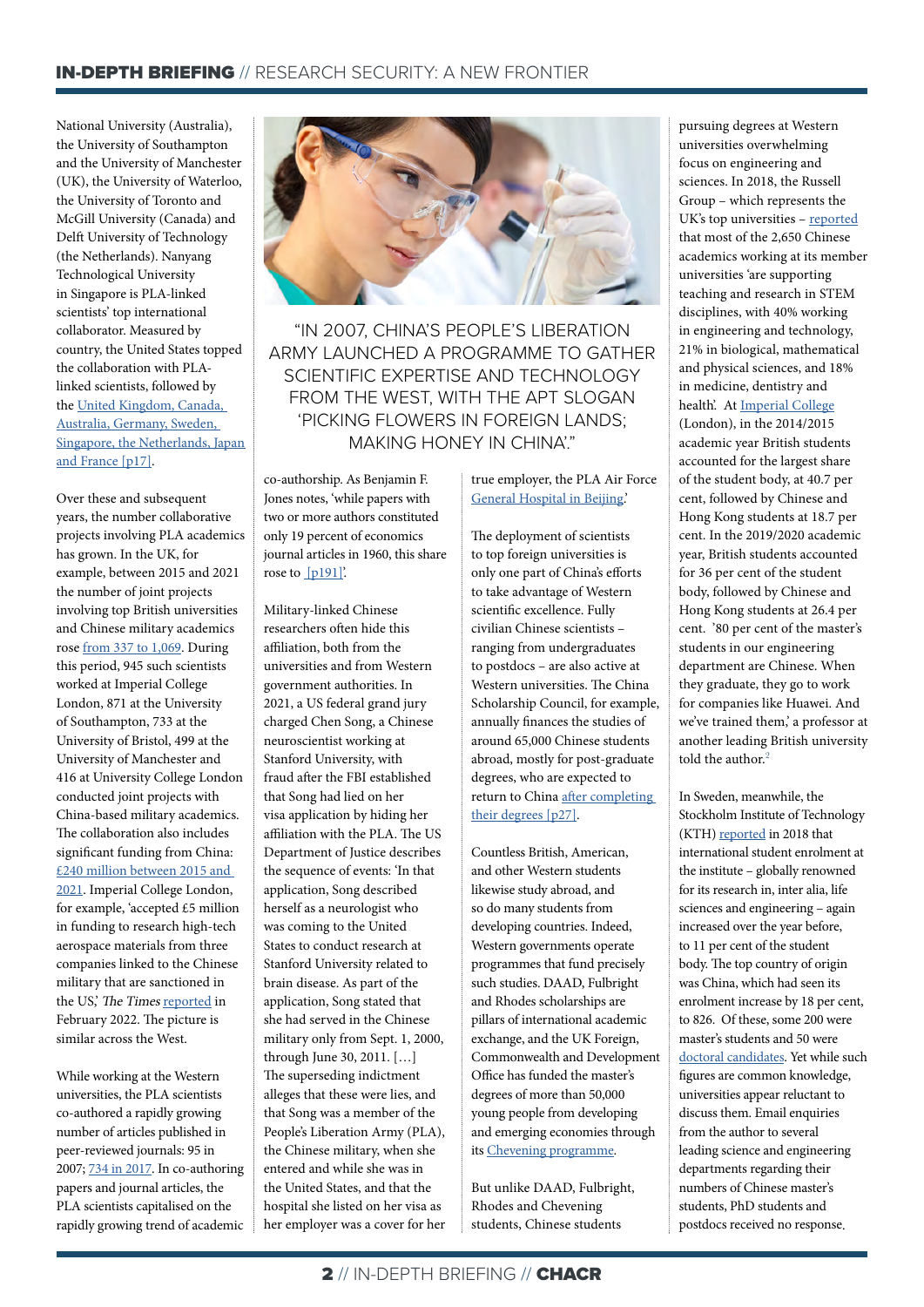National University (Australia), the University of Southampton and the University of Manchester (UK), the University of Waterloo, the University of Toronto and McGill University (Canada) and Delft University of Technology (the Netherlands). Nanyang Technological University in Singapore is PLA-linked scientists' top international collaborator. Measured by country, the United States topped the collaboration with PLAlinked scientists, followed by the [United Kingdom, Canada,](https://ad-aspi.s3.ap-southeast-2.amazonaws.com/2018-10/Picking%20flowers%2C%20making%20honey_0.pdf?VersionId=H5sGNaWXqMgTG_2F2yZTQwDw6OyNfH.u)  [Australia, Germany, Sweden,](https://ad-aspi.s3.ap-southeast-2.amazonaws.com/2018-10/Picking%20flowers%2C%20making%20honey_0.pdf?VersionId=H5sGNaWXqMgTG_2F2yZTQwDw6OyNfH.u)  [Singapore, the Netherlands, Japan](https://ad-aspi.s3.ap-southeast-2.amazonaws.com/2018-10/Picking%20flowers%2C%20making%20honey_0.pdf?VersionId=H5sGNaWXqMgTG_2F2yZTQwDw6OyNfH.u)  [and France](https://ad-aspi.s3.ap-southeast-2.amazonaws.com/2018-10/Picking%20flowers%2C%20making%20honey_0.pdf?VersionId=H5sGNaWXqMgTG_2F2yZTQwDw6OyNfH.u) [p17].

Over these and subsequent years, the number collaborative projects involving PLA academics has grown. In the UK, for example, between 2015 and 2021 the number of joint projects involving top British universities and Chinese military academics rose [from 337 to 1,069.](https://www.thetimes.co.uk/article/british-research-could-help-china-build-superweapons-wzlcrngsj) During this period, 945 such scientists worked at Imperial College London, 871 at the University of Southampton, 733 at the University of Bristol, 499 at the University of Manchester and 416 at University College London conducted joint projects with China-based military academics. The collaboration also includes significant funding from China: [£240 million between 2015 and](https://www.thetimes.co.uk/article/british-research-could-help-china-build-superweapons-wzlcrngsj)  [2021.](https://www.thetimes.co.uk/article/british-research-could-help-china-build-superweapons-wzlcrngsj) Imperial College London, for example, 'accepted £5 million in funding to research high-tech aerospace materials from three companies linked to the Chinese military that are sanctioned in the US,' The Times [reported](https://www.thetimes.co.uk/article/british-research-could-help-china-build-superweapons-wzlcrngsj) in February 2022. The picture is similar across the West.

While working at the Western universities, the PLA scientists co-authored a rapidly growing number of articles published in peer-reviewed journals: 95 in 2007; [734 in 2017.](https://www.thetimes.co.uk/article/british-research-could-help-china-build-superweapons-wzlcrngsj) In co-authoring papers and journal articles, the PLA scientists capitalised on the rapidly growing trend of academic



"IN 2007, CHINA'S PEOPLE'S LIBERATION ARMY LAUNCHED A PROGRAMME TO GATHER SCIENTIFIC EXPERTISE AND TECHNOLOGY FROM THE WEST, WITH THE APT SLOGAN 'PICKING FLOWERS IN FOREIGN LANDS; [MAKING HONEY IN CHINA](https://www.ftm.eu/articles/china-science-investigation-launch?share=1%2FKQmzMEoTd2uH8v682dpG6Xx46M06Dpafq92r83sgdq6%2FDowB6HI2%2BNgO0VgZg%3D)'."

co-authorship. As Benjamin F. Jones notes, 'while papers with two or more authors constituted only 19 percent of economics journal articles in 1960, this share rose to [p191]'.

Military-linked Chinese researchers often hide this affiliation, both from the universities and from Western government authorities. In 2021, a US federal grand jury charged Chen Song, a Chinese neuroscientist working at Stanford University, with fraud after the FBI established that Song had lied on her visa application by hiding her affiliation with the PLA. The US Department of Justice describes the sequence of events: 'In that application, Song described herself as a neurologist who was coming to the United States to conduct research at Stanford University related to brain disease. As part of the application, Song stated that she had served in the Chinese military only from Sept. 1, 2000, through June 30, 2011. […] The superseding indictment alleges that these were lies, and that Song was a member of the People's Liberation Army (PLA), the Chinese military, when she entered and while she was in the United States, and that the hospital she listed on her visa as her employer was a cover for her true employer, the PLA Air Force [General Hospital in Beijing.](https://www.justice.gov/opa/pr/federal-charges-against-stanford-university-researcher-expanded)'

The deployment of scientists to top foreign universities is only one part of China's efforts to take advantage of Western scientific excellence. Fully civilian Chinese scientists – ranging from undergraduates to postdocs – are also active at Western universities. The China Scholarship Council, for example, annually finances the studies of around 65,000 Chinese students abroad, mostly for post-graduate degrees, who are expected to return to China [after completing](https://www.jstor.org/tc/accept?origin=%2Fstable%2Fpdf%2F26976256.pdf%3Frefreqid%3Dexcelsior%253Adbd9ac6c959575a700b1d3123057c685%26ab_segments%3D0%252Fbasic_phrase_search%252Fcontrol%26origin&is_image=False)  [their degrees](https://www.jstor.org/tc/accept?origin=%2Fstable%2Fpdf%2F26976256.pdf%3Frefreqid%3Dexcelsior%253Adbd9ac6c959575a700b1d3123057c685%26ab_segments%3D0%252Fbasic_phrase_search%252Fcontrol%26origin&is_image=False) [p27].

Countless British, American, and other Western students likewise study abroad, and so do many students from developing countries. Indeed, Western governments operate programmes that fund precisely such studies. DAAD, Fulbright and Rhodes scholarships are pillars of international academic exchange, and the UK Foreign, Commonwealth and Development Office has funded the master's degrees of more than 50,000 young people from developing and emerging economies through its [Chevening programme.](https://www.chevening.org/about/)

But unlike DAAD, Fulbright, Rhodes and Chevening students, Chinese students

pursuing degrees at Western universities overwhelming focus on engineering and sciences. In 2018, the Russell Group – which represents the UK's top universities - [reported](https://russellgroup.ac.uk/media/5680/russell-group-universities-links-with-china-january-2018.pdf) that most of the 2,650 Chinese academics working at its member universities 'are supporting teaching and research in STEM disciplines, with 40% working in engineering and technology, 21% in biological, mathematical and physical sciences, and 18% in medicine, dentistry and health'. At [Imperial College](https://www.imperial.ac.uk/admin-services/strategic-planning/statistics/trend-analysis/student-nationality/) (London), in the 2014/2015 academic year British students accounted for the largest share of the student body, at 40.7 per cent, followed by Chinese and Hong Kong students at 18.7 per cent. In the 2019/2020 academic year, British students accounted for 36 per cent of the student body, followed by Chinese and Hong Kong students at 26.4 per cent. '80 per cent of the master's students in our engineering department are Chinese. When they graduate, they go to work for companies like Huawei. And we've trained them,' a professor at another leading British university told the author.<sup>2</sup>

In Sweden, meanwhile, the Stockholm Institute of Technology (KTH) [reported](https://staforum.se/pressmeddelande/stor-okning-av-internationella-studenter-i-stockholm/) in 2018 that international student enrolment at the institute – globally renowned for its research in, inter alia, life sciences and engineering – again increased over the year before, to 11 per cent of the student body. The top country of origin was China, which had seen its enrolment increase by 18 per cent, to 826. Of these, some 200 were master's students and 50 were [doctoral candidates](https://universitetslararen.se/2019/02/13/de-forskar-for-kinas-militar/). Yet while such figures are common knowledge, universities appear reluctant to discuss them. Email enquiries from the author to several leading science and engineering departments regarding their numbers of Chinese master's students, PhD students and postdocs received no response.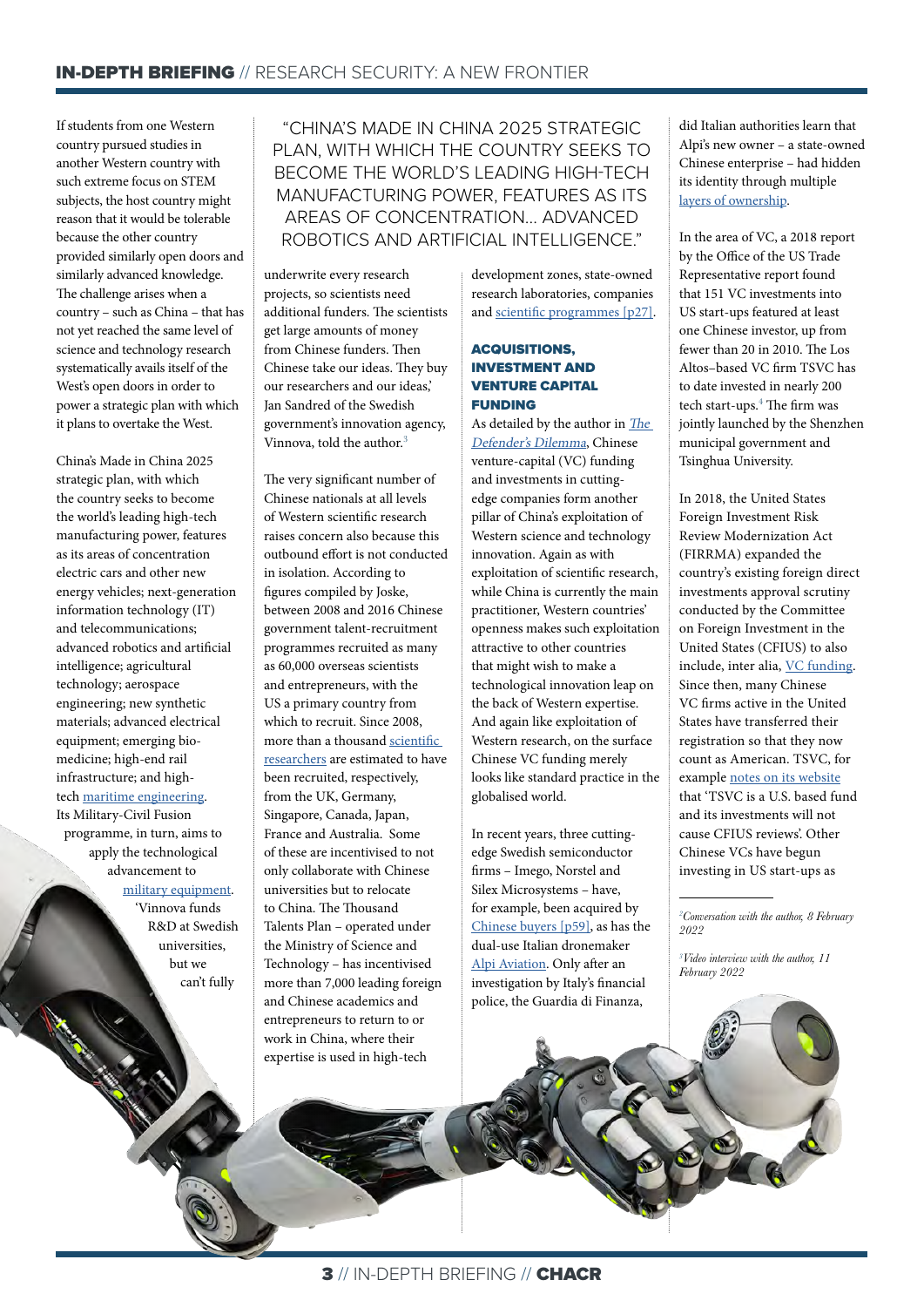If students from one Western country pursued studies in another Western country with such extreme focus on STEM subjects, the host country might reason that it would be tolerable because the other country provided similarly open doors and similarly advanced knowledge. The challenge arises when a country – such as China – that has not yet reached the same level of science and technology research systematically avails itself of the West's open doors in order to power a strategic plan with which it plans to overtake the West.

China's Made in China 2025 strategic plan, with which the country seeks to become the world's leading high-tech manufacturing power, features as its areas of concentration electric cars and other new energy vehicles; next-generation information technology (IT) and telecommunications; advanced robotics and artificial intelligence; agricultural technology; aerospace engineering; new synthetic materials; advanced electrical equipment; emerging biomedicine; high-end rail infrastructure; and hightech [maritime engineering.](https://www.cfr.org/backgrounder/made-china-2025-threat-global-trade) Its Military-Civil Fusion programme, in turn, aims to apply the technological advancement to [military equipment.](https://www.nbr.org/publication/commercialized-militarization-chinas-military-civil-fusion-strategy/) 'Vinnova funds R&D at Swedish universities,

> but we can't fully

"CHINA'S MADE IN CHINA 2025 STRATEGIC PLAN, WITH WHICH THE COUNTRY SEEKS TO BECOME THE WORLD'S LEADING HIGH-TECH MANUFACTURING POWER, FEATURES AS ITS AREAS OF CONCENTRATION... ADVANCED ROBOTICS AND ARTIFICIAL INTELLIGENCE."

underwrite every research projects, so scientists need additional funders. The scientists get large amounts of money from Chinese funders. Then Chinese take our ideas. They buy our researchers and our ideas,' Jan Sandred of the Swedish government's innovation agency, Vinnova, told the author.<sup>3</sup>

The very significant number of Chinese nationals at all levels of Western scientific research raises concern also because this outbound effort is not conducted in isolation. According to figures compiled by Joske, between 2008 and 2016 Chinese government talent-recruitment programmes recruited as many as 60,000 overseas scientists and entrepreneurs, with the US a primary country from which to recruit. Since 2008, more than a thousand [scientific](https://ad-aspi.s3.ap-southeast-2.amazonaws.com/2020-10/Hunting%20the%20phoenix_v2.pdf?VersionId=TX_kD_pNKlBF.xuSdZO1UMuTKmiNEeAK)  [researchers](https://ad-aspi.s3.ap-southeast-2.amazonaws.com/2020-10/Hunting%20the%20phoenix_v2.pdf?VersionId=TX_kD_pNKlBF.xuSdZO1UMuTKmiNEeAK) are estimated to have been recruited, respectively, from the UK, Germany, Singapore, Canada, Japan, France and Australia. Some of these are incentivised to not only collaborate with Chinese universities but to relocate to China. The Thousand Talents Plan – operated under the Ministry of Science and Technology – has incentivised more than 7,000 leading foreign and Chinese academics and entrepreneurs to return to or work in China, where their expertise is used in high-tech

development zones, state-owned research laboratories, companies and [scientific programmes](https://www.jstor.org/stable/pdf/26976256.pdf?refreqid=excelsior%3Adbd9ac6c959575a700b1d3123057c685&ab_segments=0%2Fbasic_phrase_search%2Fcontrol&origin) [p27].

#### ACQUISITIONS, INVESTMENT AND VENTURE CAPITAL FUNDING

As detailed by the author in [The](https://www.aei.org/wp-content/uploads/2021/10/Braw_Defenders-Dilemma_Finalized.pdf?x91208)  [Defender's Dilemma](https://www.aei.org/wp-content/uploads/2021/10/Braw_Defenders-Dilemma_Finalized.pdf?x91208), Chinese venture-capital (VC) funding and investments in cuttingedge companies form another pillar of China's exploitation of Western science and technology innovation. Again as with exploitation of scientific research, while China is currently the main practitioner, Western countries' openness makes such exploitation attractive to other countries that might wish to make a technological innovation leap on the back of Western expertise. And again like exploitation of Western research, on the surface Chinese VC funding merely looks like standard practice in the globalised world.

In recent years, three cuttingedge Swedish semiconductor firms – Imego, Norstel and Silex Microsystems – have, for example, been acquired by [Chinese buyers](https://www.aei.org/wp-content/uploads/2021/10/Braw_Defenders-Dilemma_Finalized.pdf?x91208) [p59], as has the dual-use Italian dronemaker [Alpi Aviation](https://www.aei.org/wp-content/uploads/2021/10/Braw_Defenders-Dilemma_Finalized.pdf?x91208). Only after an investigation by Italy's financial police, the Guardia di Finanza,

did Italian authorities learn that Alpi's new owner – a state-owned Chinese enterprise – had hidden its identity through multiple [layers of ownership.](https://www.reuters.com/world/exclusive-italy-annuls-sale-military-drones-firm-chinese-groups-sources-say-2022-03-10/)

In the area of VC, a 2018 report by the Office of the US Trade Representative report found that 151 VC investments into US start-ups featured at least one Chinese investor, up from fewer than 20 in 2010. The Los Altos–based VC firm TSVC has to date invested in nearly 200 tech start-ups.<sup>4</sup> The firm was jointly launched by the Shenzhen municipal government and Tsinghua University.

In 2018, the United States Foreign Investment Risk Review Modernization Act (FIRRMA) expanded the country's existing foreign direct investments approval scrutiny conducted by the Committee on Foreign Investment in the United States (CFIUS) to also include, inter alia, [VC funding.](https://home.treasury.gov/policy-issues/international/the-committee-on-foreign-investment-in-the-united-states-cfius/cfius-laws-and-guidance) Since then, many Chinese VC firms active in the United States have transferred their registration so that they now count as American. TSVC, for example [notes on its website](https://www.tsvcap.com/about) that 'TSVC is a U.S. based fund and its investments will not cause CFIUS reviews'. Other Chinese VCs have begun investing in US start-ups as

*2 Conversation with the author, 8 February 2022*

*3 Video interview with the author, 11 February 2022*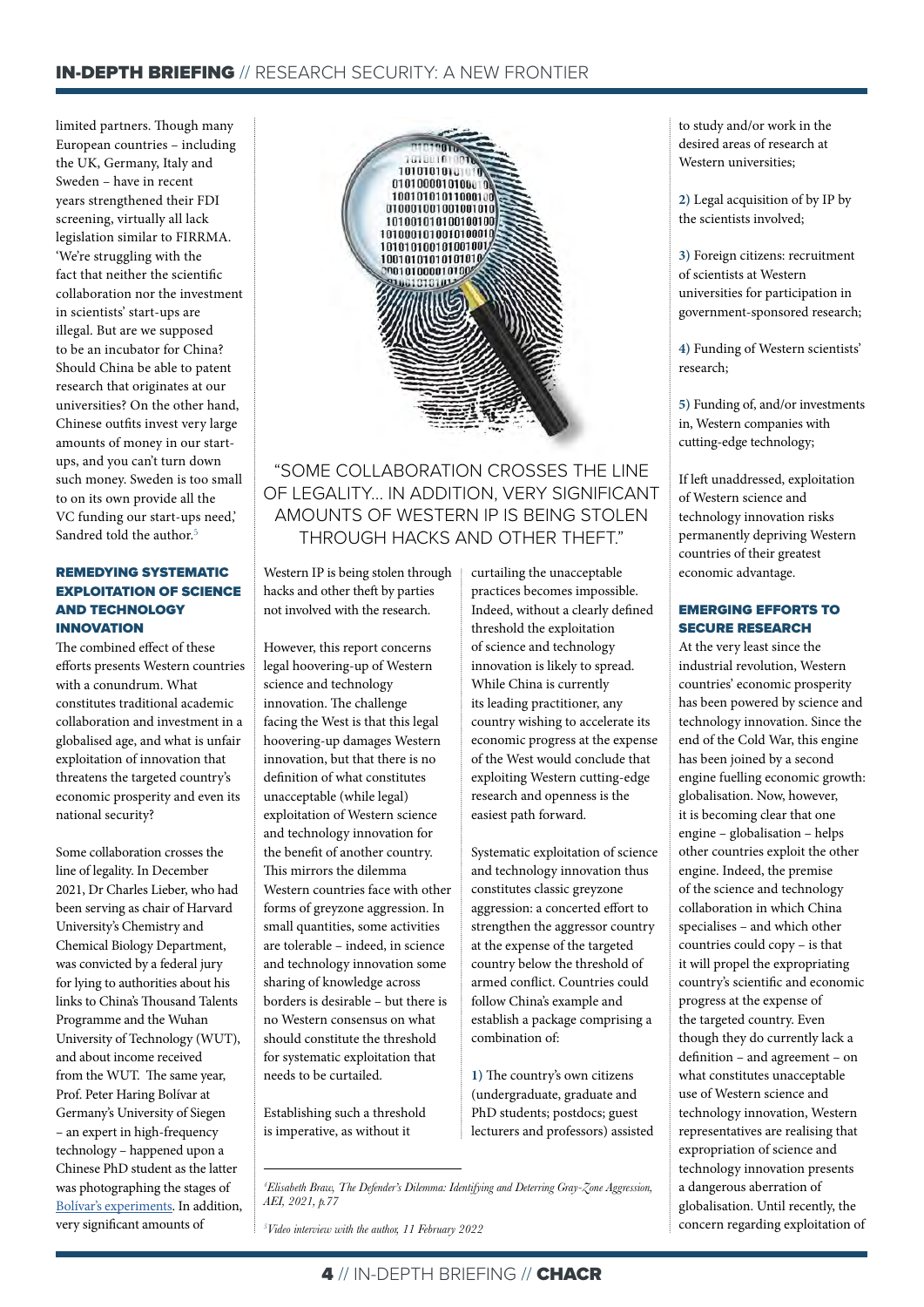limited partners. Though many European countries – including the UK, Germany, Italy and Sweden – have in recent years strengthened their FDI screening, virtually all lack legislation similar to FIRRMA. 'We're struggling with the fact that neither the scientific collaboration nor the investment in scientists' start-ups are illegal. But are we supposed to be an incubator for China? Should China be able to patent research that originates at our universities? On the other hand, Chinese outfits invest very large amounts of money in our startups, and you can't turn down such money. Sweden is too small to on its own provide all the VC funding our start-ups need,' Sandred told the author.<sup>5</sup>

#### REMEDYING SYSTEMATIC EXPLOITATION OF SCIENCE AND TECHNOLOGY INNOVATION

The combined effect of these efforts presents Western countries with a conundrum. What constitutes traditional academic collaboration and investment in a globalised age, and what is unfair exploitation of innovation that threatens the targeted country's economic prosperity and even its national security?

Some collaboration crosses the line of legality. In December 2021, Dr Charles Lieber, who had been serving as chair of Harvard University's Chemistry and Chemical Biology Department, was convicted by a federal jury for lying to authorities about his links to China's Thousand Talents Programme and the Wuhan University of Technology (WUT), and about income received from the WUT. The same year, Prof. Peter Haring Bolívar at Germany's University of Siegen – an expert in high-frequency technology – happened upon a Chinese PhD student as the latter was photographing the stages of [Bolívar's experiments.](https://www.wiwo.de/my/technologie/forschung/wissenschafts-spionage-an-manche-kooperation-mit-china-zu-unvoreingenommen-herangegangen/27853592.html?ticket=ST-1011321-vDaJfkJ2fRF69DYeLS4Q-cas01.example.org) In addition, very significant amounts of



## "SOME COLLABORATION CROSSES THE LINE OF LEGALITY... IN ADDITION, VERY SIGNIFICANT AMOUNTS OF WESTERN IP IS BEING STOLEN THROUGH HACKS AND OTHER THEFT"

Western IP is being stolen through hacks and other theft by parties not involved with the research.

However, this report concerns legal hoovering-up of Western science and technology innovation. The challenge facing the West is that this legal hoovering-up damages Western innovation, but that there is no definition of what constitutes unacceptable (while legal) exploitation of Western science and technology innovation for the benefit of another country. This mirrors the dilemma Western countries face with other forms of greyzone aggression. In small quantities, some activities are tolerable – indeed, in science and technology innovation some sharing of knowledge across borders is desirable – but there is no Western consensus on what should constitute the threshold for systematic exploitation that needs to be curtailed.

Establishing such a threshold is imperative, as without it

curtailing the unacceptable practices becomes impossible. Indeed, without a clearly defined threshold the exploitation of science and technology innovation is likely to spread. While China is currently its leading practitioner, any country wishing to accelerate its economic progress at the expense of the West would conclude that exploiting Western cutting-edge research and openness is the easiest path forward.

Systematic exploitation of science and technology innovation thus constitutes classic greyzone aggression: a concerted effort to strengthen the aggressor country at the expense of the targeted country below the threshold of armed conflict. Countries could follow China's example and establish a package comprising a combination of:

**1)** The country's own citizens (undergraduate, graduate and PhD students; postdocs; guest lecturers and professors) assisted

*4 Elisabeth Braw, The Defender's Dilemma: Identifying and Deterring Gray-Zone Aggression, AEI, 2021, p.77*

*5 Video interview with the author, 11 February 2022*

to study and/or work in the desired areas of research at Western universities;

**2)** Legal acquisition of by IP by the scientists involved;

**3)** Foreign citizens: recruitment of scientists at Western universities for participation in government-sponsored research;

**4)** Funding of Western scientists' research;

**5)** Funding of, and/or investments in, Western companies with cutting-edge technology;

If left unaddressed, exploitation of Western science and technology innovation risks permanently depriving Western countries of their greatest economic advantage.

#### EMERGING EFFORTS TO SECURE RESEARCH

At the very least since the industrial revolution, Western countries' economic prosperity has been powered by science and technology innovation. Since the end of the Cold War, this engine has been joined by a second engine fuelling economic growth: globalisation. Now, however, it is becoming clear that one engine – globalisation – helps other countries exploit the other engine. Indeed, the premise of the science and technology collaboration in which China specialises – and which other countries could copy – is that it will propel the expropriating country's scientific and economic progress at the expense of the targeted country. Even though they do currently lack a definition – and agreement – on what constitutes unacceptable use of Western science and technology innovation, Western representatives are realising that expropriation of science and technology innovation presents a dangerous aberration of globalisation. Until recently, the concern regarding exploitation of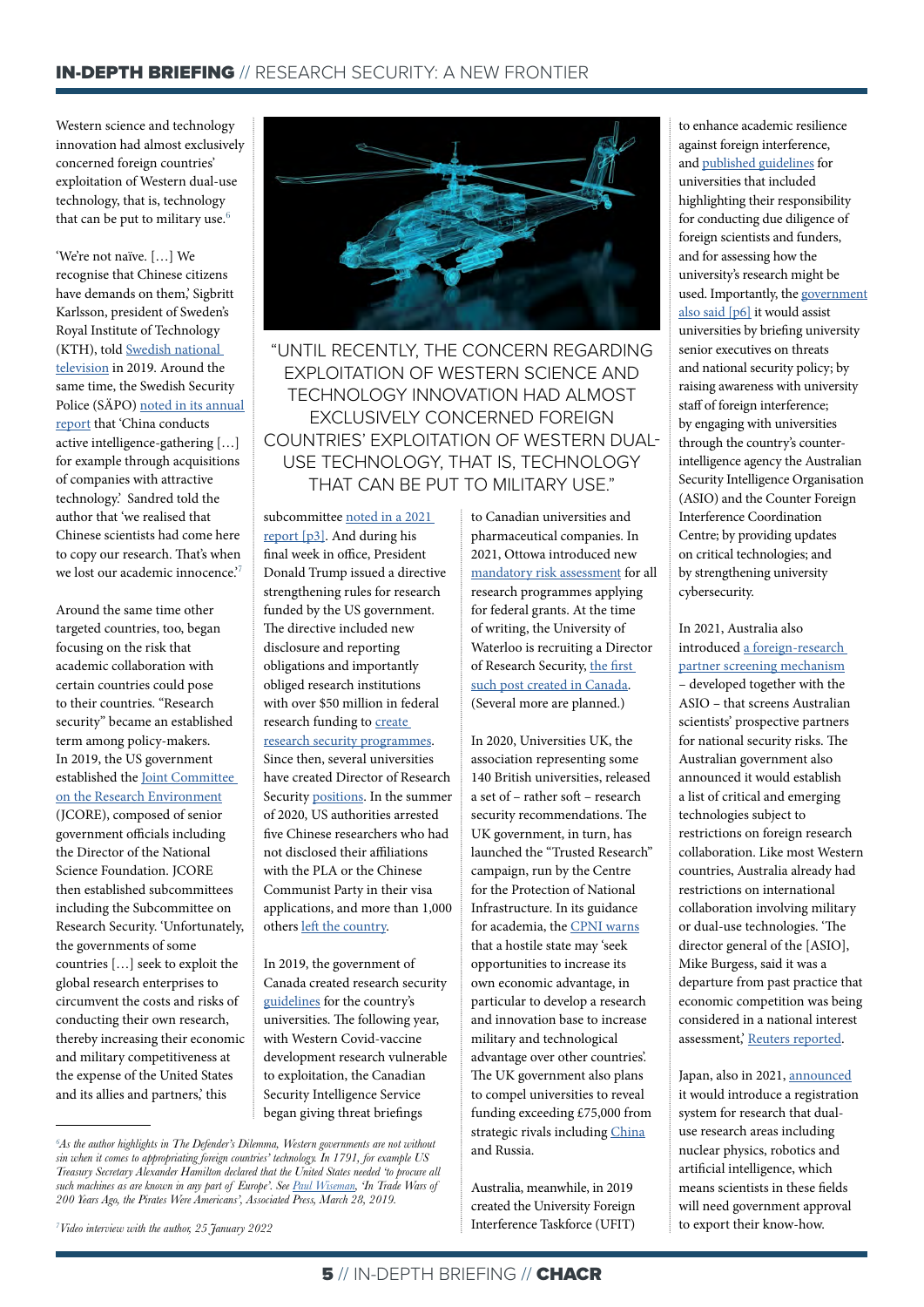Western science and technology innovation had almost exclusively concerned foreign countries' exploitation of Western dual-use technology, that is, technology that can be put to military use. $6$ 

'We're not naïve. […] We recognise that Chinese citizens have demands on them,' Sigbritt Karlsson, president of Sweden's Royal Institute of Technology (KTH), told [Swedish national](https://www.svt.se/nyheter/lokalt/stockholm/kinesiska-studenter)  [television](https://www.svt.se/nyheter/lokalt/stockholm/kinesiska-studenter) in 2019. Around the same time, the Swedish Security Police (SÄPO) [noted in its annual](https://www.sakerhetspolisen.se/download/18.310a187117da376c660316c/1637581668377/Arsbok-2018.pdf)  [report](https://www.sakerhetspolisen.se/download/18.310a187117da376c660316c/1637581668377/Arsbok-2018.pdf) that 'China conducts active intelligence-gathering […] for example through acquisitions of companies with attractive technology.' Sandred told the author that 'we realised that Chinese scientists had come here to copy our research. That's when we lost our academic innocence.<sup>7</sup>

Around the same time other targeted countries, too, began focusing on the risk that academic collaboration with certain countries could pose to their countries. "Research security" became an established term among policy-makers. In 2019, the US government established the [Joint Committee](https://trumpwhitehouse.archives.gov/wp-content/uploads/2021/01/NSTC-Research-Security-Best-Practices-Jan2021.pdf)  [on the Research Environment](https://trumpwhitehouse.archives.gov/wp-content/uploads/2021/01/NSTC-Research-Security-Best-Practices-Jan2021.pdf) (JCORE), composed of senior government officials including the Director of the National Science Foundation. JCORE then established subcommittees including the Subcommittee on Research Security. 'Unfortunately, the governments of some countries […] seek to exploit the global research enterprises to circumvent the costs and risks of conducting their own research, thereby increasing their economic and military competitiveness at the expense of the United States and its allies and partners,' this



"UNTIL RECENTLY, THE CONCERN REGARDING EXPLOITATION OF WESTERN SCIENCE AND TECHNOLOGY INNOVATION HAD ALMOST **EXCLUSIVELY CONCERNED FOREIGN** COUNTRIES' EXPLOITATION OF WESTERN DUAL-USE TECHNOLOGY, THAT IS, TECHNOLOGY THAT CAN BE PUT TO MILITARY USE."

subcommittee [noted in a 2021](https://trumpwhitehouse.archives.gov/wp-content/uploads/2021/01/NSTC-Research-Security-Best-Practices-Jan2021.pdf)  [report](https://trumpwhitehouse.archives.gov/wp-content/uploads/2021/01/NSTC-Research-Security-Best-Practices-Jan2021.pdf) [p3]. And during his final week in office, President Donald Trump issued a directive strengthening rules for research funded by the US government. The directive included new disclosure and reporting obligations and importantly obliged research institutions with over \$50 million in federal research funding to **create** [research security programmes](https://trumpwhitehouse.archives.gov/wp-content/uploads/2021/01/NSTC-Research-Security-Best-Practices-Jan2021.pdf). Since then, several universities have created Director of Research Security [positions](https://www.psu.edu/news/research/story/clint-schmidt-named-director-research-security-program-penn-state/). In the summer of 2020, US authorities arrested five Chinese researchers who had not disclosed their affiliations with the PLA or the Chinese Communist Party in their visa applications, and more than 1,000 others [left the country.](https://www.chemistryworld.com/news/1000-chinese-researchers-have-left-the-us-since-spying-probe-intensified-this-summer/4012874.article)

In 2019, the government of Canada created research security [guidelines](https://www.publicsafety.gc.ca/cnt/ntnl-scrt/cntr-trrrsm/cntr-prlfrtn/sfgrdng-scnc/sfgrdng-scnc-cdmc-cmmnty-en.aspx) for the country's universities. The following year, with Western Covid-vaccine development research vulnerable to exploitation, the Canadian Security Intelligence Service began giving threat briefings

*7 Video interview with the author, 25 January 2022*

to Canadian universities and pharmaceutical companies. In 2021, Ottowa introduced new [mandatory risk assessment](https://www.theglobeandmail.com/politics/article-ottawa-imposes-national-security-risk-assessments-for-university/) for all research programmes applying for federal grants. At the time of writing, the University of Waterloo is recruiting a Director of Research Security, [the first](https://candidates.perrettlaver.com/vacancies/2665/director_research_security/)  [such post created in Canada.](https://candidates.perrettlaver.com/vacancies/2665/director_research_security/) (Several more are planned.)

In 2020, Universities UK, the association representing some 140 British universities, released a set of – rather soft – research security recommendations. The UK government, in turn, has launched the "Trusted Research" campaign, run by the Centre for the Protection of National Infrastructure. In its guidance for academia, the [CPNI warns](https://www.cpni.gov.uk/trusted-research-academia) that a hostile state may 'seek opportunities to increase its own economic advantage, in particular to develop a research and innovation base to increase military and technological advantage over other countries'. The UK government also plans to compel universities to reveal funding exceeding £75,000 from strategic rivals including [China](https://www.thetimes.co.uk/article/universities-facing-new-china-cash-crackdown-76qcjcwv8) and Russia.

Australia, meanwhile, in 2019 created the University Foreign Interference Taskforce (UFIT) to enhance academic resilience against foreign interference, and [published guidelines](https://www.dese.gov.au/guidelines-counter-foreign-interference-australian-university-sector/resources/guidelines-counter-foreign-interference-australian-university-sector) for universities that included highlighting their responsibility for conducting due diligence of foreign scientists and funders, and for assessing how the university's research might be used. Importantly, the [government](https://www.dese.gov.au/guidelines-counter-foreign-interference-australian-university-sector/resources/guidelines-counter-foreign-interference-australian-university-sector) [also said](https://www.dese.gov.au/guidelines-counter-foreign-interference-australian-university-sector/resources/guidelines-counter-foreign-interference-australian-university-sector) [p6] it would assist universities by briefing university senior executives on threats and national security policy; by raising awareness with university staff of foreign interference; by engaging with universities through the country's counterintelligence agency the Australian Security Intelligence Organisation (ASIO) and the Counter Foreign Interference Coordination Centre; by providing updates on critical technologies; and by strengthening university cybersecurity.

In 2021, Australia also introduced [a foreign-research](https://www.reuters.com/article/us-australia-security-foreign-interferen/australias-science-agency-ramps-up-security-on-foreign-partnerships-idUSKBN2BB0NB)  [partner screening mechanism](https://www.reuters.com/article/us-australia-security-foreign-interferen/australias-science-agency-ramps-up-security-on-foreign-partnerships-idUSKBN2BB0NB) – developed together with the ASIO – that screens Australian scientists' prospective partners for national security risks. The Australian government also announced it would establish a list of critical and emerging technologies subject to restrictions on foreign research collaboration. Like most Western countries, Australia already had restrictions on international collaboration involving military or dual-use technologies. 'The director general of the [ASIO], Mike Burgess, said it was a departure from past practice that economic competition was being considered in a national interest assessment,' [Reuters reported](https://www.reuters.com/article/us-australia-china-technology/australia-to-scrutinise-foreign-research-collaboration-on-emerging-technology-idUSKBN2B30JP).

Japan, also in 2021, [announced](https://www.universityworldnews.com/post.php?story=20210616090608803) it would introduce a registration system for research that dualuse research areas including nuclear physics, robotics and artificial intelligence, which means scientists in these fields will need government approval to export their know-how.

<sup>&</sup>lt;sup>6</sup>As the author highlights in The Defender's Dilemma, Western governments are not without *sin when it comes to appropriating foreign countries' technology. In 1791, for example US Treasury Secretary Alexander Hamilton declared that the United States needed 'to procure all such machines as are known in any part of Europe'. See [Paul Wiseman,](https://apnews.com/article/b40414d22f2248428ce11ff36b88dc53) 'In Trade Wars of 200 Years Ago, the Pirates Were Americans', Associated Press, March 28, 2019.*